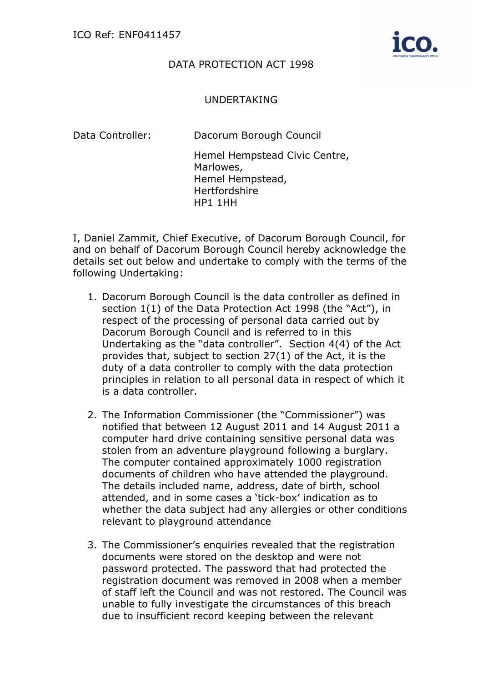

## DATA PROTECTION ACT 1998

## UNDERTAKING

Data Controller: Dacorum Borough Council

Hemel Hempstead Civic Centre, Marlowes, Hemel Hempstead, Hertfordshire [HP1 1HH](http://maps.google.com/maps?saddr=&daddr=HP1%201HH)

I, Daniel Zammit, Chief Executive, of Dacorum Borough Council, for and on behalf of Dacorum Borough Council hereby acknowledge the details set out below and undertake to comply with the terms of the following Undertaking:

- 1. Dacorum Borough Council is the data controller as defined in section 1(1) of the Data Protection Act 1998 (the "Act"), in respect of the processing of personal data carried out by Dacorum Borough Council and is referred to in this Undertaking as the "data controller". Section 4(4) of the Act provides that, subject to section 27(1) of the Act, it is the duty of a data controller to comply with the data protection principles in relation to all personal data in respect of which it is a data controller.
- 2. The Information Commissioner (the "Commissioner") was notified that between 12 August 2011 and 14 August 2011 a computer hard drive containing sensitive personal data was stolen from an adventure playground following a burglary. The computer contained approximately 1000 registration documents of children who have attended the playground. The details included name, address, date of birth, school attended, and in some cases a 'tick-box' indication as to whether the data subject had any allergies or other conditions relevant to playground attendance
- 3. The Commissioner's enquiries revealed that the registration documents were stored on the desktop and were not password protected. The password that had protected the registration document was removed in 2008 when a member of staff left the Council and was not restored. The Council was unable to fully investigate the circumstances of this breach due to insufficient record keeping between the relevant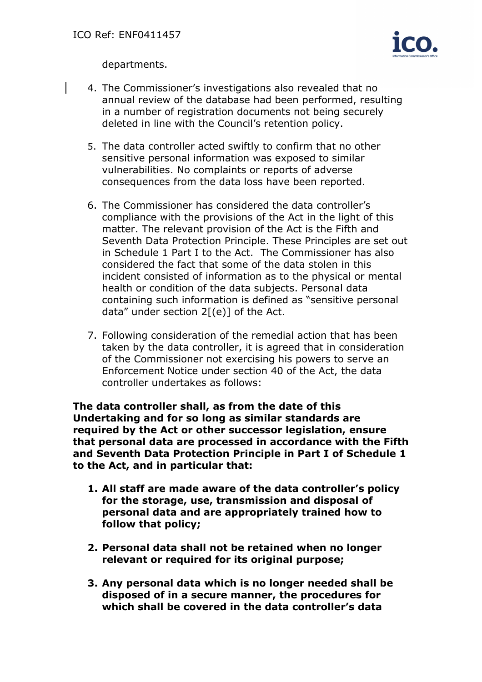

departments.

- 4. The Commissioner's investigations also revealed that no annual review of the database had been performed, resulting in a number of registration documents not being securely deleted in line with the Council's retention policy.
- 5. The data controller acted swiftly to confirm that no other sensitive personal information was exposed to similar vulnerabilities. No complaints or reports of adverse consequences from the data loss have been reported.
- 6. The Commissioner has considered the data controller's compliance with the provisions of the Act in the light of this matter. The relevant provision of the Act is the Fifth and Seventh Data Protection Principle. These Principles are set out in Schedule 1 Part I to the Act. The Commissioner has also considered the fact that some of the data stolen in this incident consisted of information as to the physical or mental health or condition of the data subjects. Personal data containing such information is defined as "sensitive personal data" under section  $2[(e)]$  of the Act.
- 7. Following consideration of the remedial action that has been taken by the data controller, it is agreed that in consideration of the Commissioner not exercising his powers to serve an Enforcement Notice under section 40 of the Act, the data controller undertakes as follows:

**The data controller shall, as from the date of this Undertaking and for so long as similar standards are required by the Act or other successor legislation, ensure that personal data are processed in accordance with the Fifth and Seventh Data Protection Principle in Part I of Schedule 1 to the Act, and in particular that:** 

- **1. All staff are made aware of the data controller's policy for the storage, use, transmission and disposal of personal data and are appropriately trained how to follow that policy;**
- **2. Personal data shall not be retained when no longer relevant or required for its original purpose;**
- **3. Any personal data which is no longer needed shall be disposed of in a secure manner, the procedures for which shall be covered in the data controller's data**